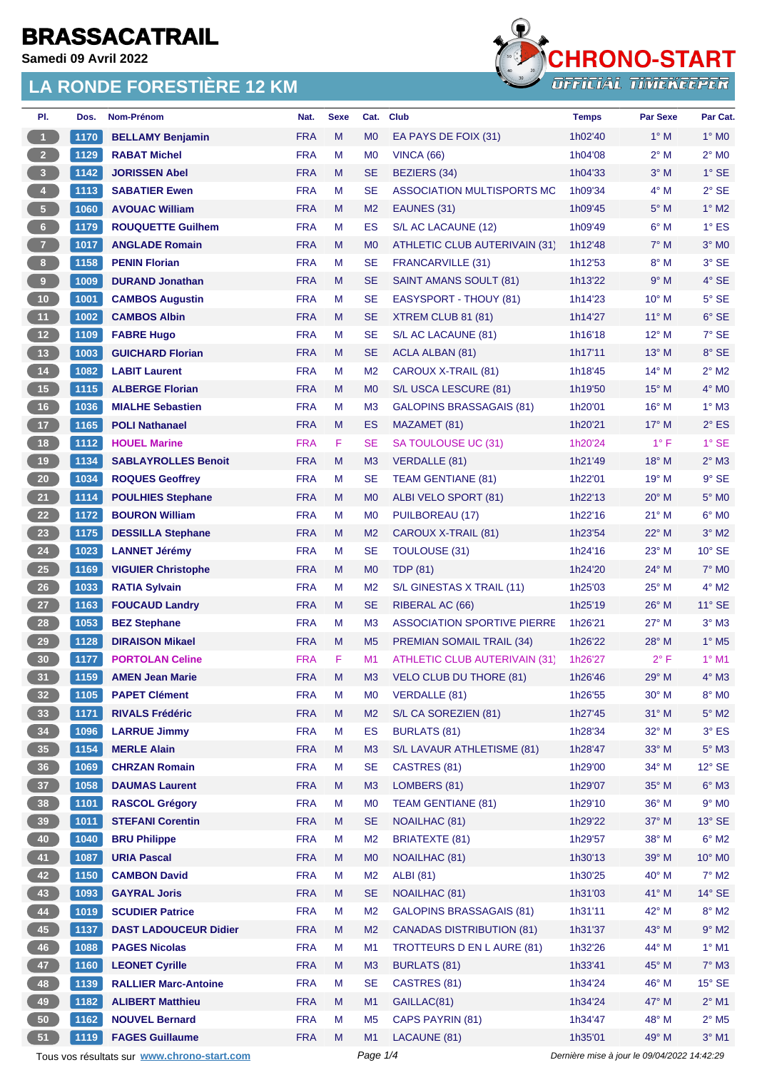**Samedi 09 Avril 2022**

# **LA RONDE FORESTIÈRE 12 KM**



| PI.                     | Dos.         | <b>Nom-Prénom</b>                           | Nat.       | <b>Sexe</b> | Cat.           | <b>Club</b>                          | <b>Temps</b>                                | <b>Par Sexe</b> | Par Cat.                        |
|-------------------------|--------------|---------------------------------------------|------------|-------------|----------------|--------------------------------------|---------------------------------------------|-----------------|---------------------------------|
| $\mathbf{1}$            | 1170         | <b>BELLAMY Benjamin</b>                     | <b>FRA</b> | M           | M <sub>0</sub> | EA PAYS DE FOIX (31)                 | 1h02'40                                     | $1^\circ$ M     | $1^\circ$ MO                    |
| 2 <sup>7</sup>          | 1129         | <b>RABAT Michel</b>                         | <b>FRA</b> | M           | M <sub>0</sub> | <b>VINCA (66)</b>                    | 1h04'08                                     | $2^{\circ}$ M   | $2^{\circ}$ MO                  |
| $\overline{\mathbf{3}}$ | 1142         | <b>JORISSEN Abel</b>                        | <b>FRA</b> | M           | <b>SE</b>      | <b>BEZIERS (34)</b>                  | 1h04'33                                     | $3^\circ$ M     | $1^\circ$ SE                    |
| $\overline{4}$          | 1113         | <b>SABATIER Ewen</b>                        | <b>FRA</b> | М           | <b>SE</b>      | ASSOCIATION MULTISPORTS MC           | 1h09'34                                     | $4^\circ$ M     | $2°$ SE                         |
| $\sqrt{5}$              | 1060         | <b>AVOUAC William</b>                       | <b>FRA</b> | M           | M <sub>2</sub> | EAUNES (31)                          | 1h09'45                                     | 5° M            | $1^\circ$ M2                    |
| 6 <sup>1</sup>          | 1179         | <b>ROUQUETTE Guilhem</b>                    | <b>FRA</b> | M           | <b>ES</b>      | S/L AC LACAUNE (12)                  | 1h09'49                                     | $6^\circ$ M     | $1^\circ$ ES                    |
| $\overline{7}$          | 1017         | <b>ANGLADE Romain</b>                       | <b>FRA</b> | M           | M <sub>0</sub> | <b>ATHLETIC CLUB AUTERIVAIN (31)</b> | 1h12'48                                     | $7^\circ$ M     | $3°$ MO                         |
| 8 <sup>1</sup>          | 1158         | <b>PENIN Florian</b>                        | <b>FRA</b> | М           | <b>SE</b>      | <b>FRANCARVILLE (31)</b>             | 1h12'53                                     | $8^\circ$ M     | 3° SE                           |
| $\overline{9}$          | 1009         | <b>DURAND Jonathan</b>                      | <b>FRA</b> | M           | <b>SE</b>      | SAINT AMANS SOULT (81)               | 1h13'22                                     | 9° M            | $4^\circ$ SE                    |
| $10$                    | 1001         | <b>CAMBOS Augustin</b>                      | <b>FRA</b> | M           | <b>SE</b>      | EASYSPORT - THOUY (81)               | 1h14'23                                     | 10° M           | $5^\circ$ SE                    |
| 11                      | 1002         | <b>CAMBOS Albin</b>                         | <b>FRA</b> | M           | <b>SE</b>      | XTREM CLUB 81 (81)                   | 1h14'27                                     | $11^{\circ}$ M  | $6^{\circ}$ SE                  |
| 12                      | 1109         | <b>FABRE Hugo</b>                           | <b>FRA</b> | М           | <b>SE</b>      | S/L AC LACAUNE (81)                  | 1h16'18                                     | $12^{\circ}$ M  | $7°$ SE                         |
| $13$                    | 1003         | <b>GUICHARD Florian</b>                     | <b>FRA</b> | M           | <b>SE</b>      | <b>ACLA ALBAN (81)</b>               | 1h17'11                                     | 13° M           | 8° SE                           |
| $14$                    | 1082         | <b>LABIT Laurent</b>                        | <b>FRA</b> | М           | M <sub>2</sub> | CAROUX X-TRAIL (81)                  | 1h18'45                                     | $14^{\circ}$ M  | $2^{\circ}$ M2                  |
| $15$                    | 1115         | <b>ALBERGE Florian</b>                      | <b>FRA</b> | M           | M <sub>0</sub> | S/L USCA LESCURE (81)                | 1h19'50                                     | $15^{\circ}$ M  | $4^\circ$ MO                    |
| 16                      | 1036         | <b>MIALHE Sebastien</b>                     | <b>FRA</b> | М           | M <sub>3</sub> | GALOPINS BRASSAGAIS (81)             | 1h20'01                                     | $16^{\circ}$ M  | $1^\circ$ M3                    |
| 17                      | 1165         | <b>POLI Nathanael</b>                       | <b>FRA</b> | M           | ES             | MAZAMET (81)                         | 1h20'21                                     | $17^{\circ}$ M  | $2^{\circ}$ ES                  |
| 18                      | 1112         | <b>HOUEL Marine</b>                         | <b>FRA</b> | F.          | <b>SE</b>      | SA TOULOUSE UC (31)                  | 1h20'24                                     | $1^{\circ}$ F   | $1°$ SE                         |
| 19                      | 1134         | <b>SABLAYROLLES Benoit</b>                  | <b>FRA</b> | M           | M3             | <b>VERDALLE (81)</b>                 | 1h21'49                                     | 18° M           | $2^{\circ}$ M3                  |
| $20\,$                  | 1034         | <b>ROQUES Geoffrey</b>                      | <b>FRA</b> | М           | <b>SE</b>      | <b>TEAM GENTIANE (81)</b>            | 1h22'01                                     | $19°$ M         | $9°$ SE                         |
| 21                      | 1114         | <b>POULHIES Stephane</b>                    | <b>FRA</b> | M           | M <sub>0</sub> | ALBI VELO SPORT (81)                 | 1h22'13                                     | $20^\circ$ M    | $5^\circ$ MO                    |
| 22                      | 1172         | <b>BOURON William</b>                       | <b>FRA</b> | М           | M <sub>0</sub> | PUILBOREAU (17)                      | 1h22'16                                     | $21°$ M         | $6^{\circ}$ MO                  |
| 23                      | 1175         | <b>DESSILLA Stephane</b>                    | <b>FRA</b> | M           | M <sub>2</sub> | CAROUX X-TRAIL (81)                  | 1h23'54                                     | $22^{\circ}$ M  | $3°$ M2                         |
| 24                      | 1023         | <b>LANNET Jérémy</b>                        | <b>FRA</b> | М           | <b>SE</b>      | <b>TOULOUSE (31)</b>                 | 1h24'16                                     | 23° M           | $10^{\circ}$ SE                 |
| 25                      | 1169         | <b>VIGUIER Christophe</b>                   | <b>FRA</b> | M           | M <sub>0</sub> | <b>TDP (81)</b>                      | 1h24'20                                     | 24° M           | $7^\circ$ MO                    |
| 26                      | 1033         | <b>RATIA Sylvain</b>                        | <b>FRA</b> | М           | M <sub>2</sub> | S/L GINESTAS X TRAIL (11)            | 1h25'03                                     | $25^{\circ}$ M  | $4^{\circ}$ M2                  |
| 27                      | 1163         | <b>FOUCAUD Landry</b>                       | <b>FRA</b> | M           | <b>SE</b>      | RIBERAL AC (66)                      | 1h25'19                                     | $26^{\circ}$ M  | $11^{\circ}$ SE                 |
| 28                      | 1053         | <b>BEZ Stephane</b>                         | <b>FRA</b> | M           | M <sub>3</sub> | <b>ASSOCIATION SPORTIVE PIERRE</b>   | 1h26'21                                     | $27^\circ$ M    | $3°$ M $3$                      |
| 29                      | 1128         | <b>DIRAISON Mikael</b>                      | <b>FRA</b> | M           | M <sub>5</sub> | <b>PREMIAN SOMAIL TRAIL (34)</b>     | 1h26'22                                     | $28^\circ$ M    | $1^\circ$ M <sub>5</sub>        |
| 30                      | 1177         | <b>PORTOLAN Celine</b>                      | <b>FRA</b> | F           | M1             | ATHLETIC CLUB AUTERIVAIN (31)        | 1h26'27                                     | $2^{\circ}$ F   | $1°$ M1                         |
| 31                      | 1159         | <b>AMEN Jean Marie</b>                      | <b>FRA</b> | M           | M <sub>3</sub> | VELO CLUB DU THORE (81)              | 1h26'46                                     | $29^{\circ}$ M  | $4^\circ$ M3                    |
| 32 <sub>2</sub>         | 1105         | <b>PAPET Clément</b>                        | <b>FRA</b> | M           | M <sub>0</sub> | <b>VERDALLE (81)</b>                 | 1h26'55                                     | 30° M           | $8^\circ$ MO                    |
| 33                      | 1171         | <b>RIVALS Frédéric</b>                      | <b>FRA</b> | M           | M <sub>2</sub> | S/L CA SOREZIEN (81)                 | 1h27'45                                     | $31^\circ$ M    | $5^\circ$ M2                    |
| 34                      | 1096         | <b>LARRUE Jimmy</b>                         | <b>FRA</b> | M           | ES             | <b>BURLATS (81)</b>                  | 1h28'34                                     | 32° M           | $3^\circ$ ES                    |
| 35 <sub>5</sub>         | 1154         | <b>MERLE Alain</b>                          | <b>FRA</b> | M           | M <sub>3</sub> | S/L LAVAUR ATHLETISME (81)           | 1h28'47                                     | 33° M           | $5^\circ$ M3                    |
| 36                      | 1069         | <b>CHRZAN Romain</b>                        | <b>FRA</b> | М           | <b>SE</b>      | CASTRES (81)                         | 1h29'00                                     | 34° M           | $12^{\circ}$ SE                 |
| 37 <sup>°</sup>         | 1058         | <b>DAUMAS Laurent</b>                       | <b>FRA</b> | M           | M <sub>3</sub> | LOMBERS (81)                         | 1h29'07                                     | 35° M           | $6^{\circ}$ M3                  |
| 38                      | 1101         | <b>RASCOL Grégory</b>                       | <b>FRA</b> | M           | M <sub>0</sub> | <b>TEAM GENTIANE (81)</b>            | 1h29'10                                     | 36° M           | $9°$ MO                         |
| 39                      |              | <b>STEFANI Corentin</b>                     | <b>FRA</b> | M           | <b>SE</b>      | NOAILHAC (81)                        |                                             | 37° M           |                                 |
| 40                      | 1011<br>1040 | <b>BRU Philippe</b>                         | <b>FRA</b> | M           | M <sub>2</sub> | <b>BRIATEXTE (81)</b>                | 1h29'22<br>1h29'57                          | 38° M           | $13^\circ$ SE<br>$6^{\circ}$ M2 |
| 41                      |              |                                             | <b>FRA</b> | M           | M <sub>0</sub> |                                      | 1h30'13                                     | 39° M           | 10° MO                          |
|                         | 1087         | <b>URIA Pascal</b>                          |            |             |                | NOAILHAC (81)                        |                                             |                 |                                 |
| 42                      | 1150         | <b>CAMBON David</b>                         | <b>FRA</b> | M           | M <sub>2</sub> | <b>ALBI</b> (81)                     | 1h30'25                                     | 40° M           | $7^\circ$ M2                    |
| 43                      | 1093         | <b>GAYRAL Joris</b>                         | <b>FRA</b> | M           | <b>SE</b>      | NOAILHAC (81)                        | 1h31'03                                     | 41° M           | $14^\circ$ SE                   |
| 44                      | 1019         | <b>SCUDIER Patrice</b>                      | <b>FRA</b> | M           | M <sub>2</sub> | <b>GALOPINS BRASSAGAIS (81)</b>      | 1h31'11                                     | 42° M           | $8^\circ$ M2                    |
| $\bf 45$                | 1137         | <b>DAST LADOUCEUR Didier</b>                | <b>FRA</b> | M           | M <sub>2</sub> | <b>CANADAS DISTRIBUTION (81)</b>     | 1h31'37                                     | 43° M           | $9^\circ$ M2                    |
| 46                      | 1088         | <b>PAGES Nicolas</b>                        | <b>FRA</b> | M           | M1             | TROTTEURS D EN L AURE (81)           | 1h32'26                                     | 44° M           | $1^\circ$ M1                    |
| 47                      | 1160         | <b>LEONET Cyrille</b>                       | <b>FRA</b> | M           | M3             | <b>BURLATS (81)</b>                  | 1h33'41                                     | 45° M           | $7^\circ$ M3                    |
| 48                      | 1139         | <b>RALLIER Marc-Antoine</b>                 | <b>FRA</b> | M           | <b>SE</b>      | CASTRES (81)                         | 1h34'24                                     | 46° M           | $15^\circ$ SE                   |
| 49                      | 1182         | <b>ALIBERT Matthieu</b>                     | <b>FRA</b> | M           | M1             | GAILLAC(81)                          | 1h34'24                                     | 47° M           | $2^{\circ}$ M1                  |
| 50                      | 1162         | <b>NOUVEL Bernard</b>                       | <b>FRA</b> | M           | M <sub>5</sub> | CAPS PAYRIN (81)                     | 1h34'47                                     | 48° M           | $2^{\circ}$ M <sub>5</sub>      |
| 51                      | 1119         | <b>FAGES Guillaume</b>                      | <b>FRA</b> | M           | M1             | LACAUNE (81)                         | 1h35'01                                     | 49° M           | $3^\circ$ M1                    |
|                         |              | Tous vos résultats sur www.chrono-start.com |            |             | Page 1/4       |                                      | Dernière mise à jour le 09/04/2022 14:42:29 |                 |                                 |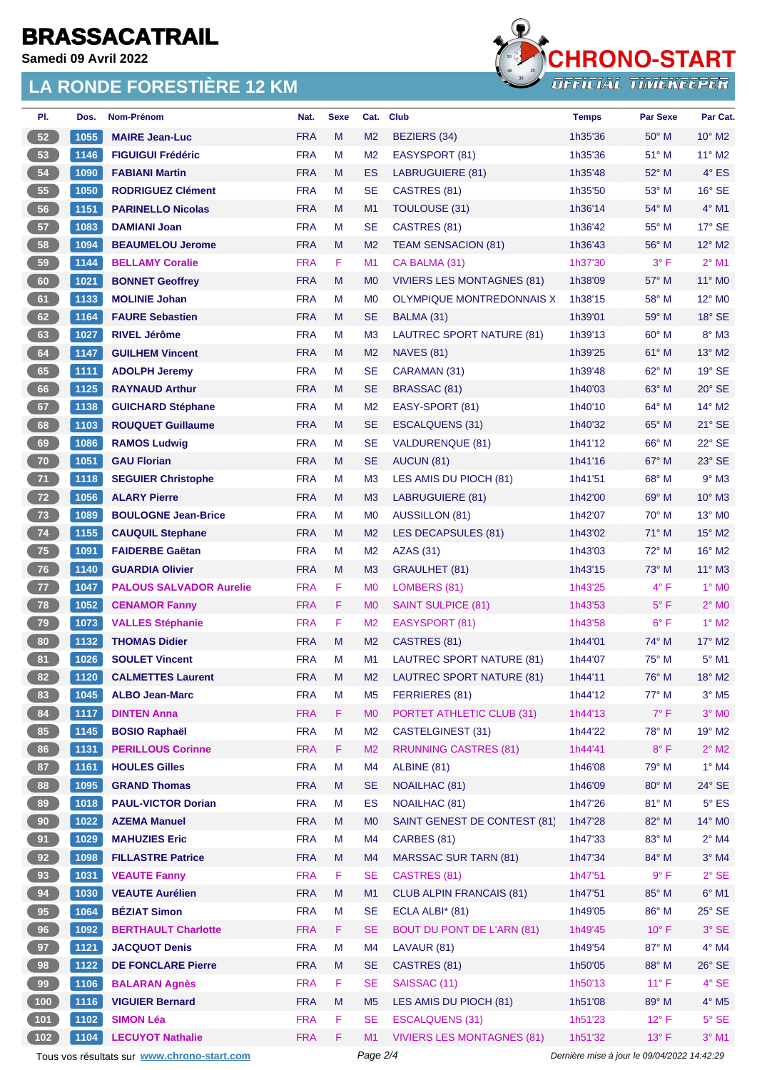**Samedi 09 Avril 2022**

#### **LA RONDE FORESTIÈRE 12 KM**



| PI.             | Dos. | Nom-Prénom                                  | Nat.       | <b>Sexe</b> | Cat.           | <b>Club</b>                       | <b>Temps</b>                                | <b>Par Sexe</b> | Par Cat.                 |  |
|-----------------|------|---------------------------------------------|------------|-------------|----------------|-----------------------------------|---------------------------------------------|-----------------|--------------------------|--|
| 52              | 1055 | <b>MAIRE Jean-Luc</b>                       | <b>FRA</b> | M           | M <sub>2</sub> | <b>BEZIERS (34)</b>               | 1h35'36                                     | $50^\circ$ M    | $10^{\circ}$ M2          |  |
| 53              | 1146 | <b>FIGUIGUI Frédéric</b>                    | <b>FRA</b> | м           | M <sub>2</sub> | EASYSPORT (81)                    | 1h35'36                                     | $51^\circ$ M    | 11° M2                   |  |
| 54              | 1090 | <b>FABIANI Martin</b>                       | <b>FRA</b> | M           | <b>ES</b>      | <b>LABRUGUIERE (81)</b>           | 1h35'48                                     | 52° M           | $4^\circ$ ES             |  |
| 55              | 1050 | <b>RODRIGUEZ Clément</b>                    | <b>FRA</b> | М           | <b>SE</b>      | CASTRES (81)                      | 1h35'50                                     | 53° M           | $16°$ SE                 |  |
| 56              | 1151 | <b>PARINELLO Nicolas</b>                    | <b>FRA</b> | M           | M1             | <b>TOULOUSE (31)</b>              | 1h36'14                                     | 54° M           | $4°$ M1                  |  |
| 57              | 1083 | <b>DAMIANI Joan</b>                         | <b>FRA</b> | М           | <b>SE</b>      | CASTRES (81)                      | 1h36'42                                     | 55° M           | $17^\circ$ SE            |  |
| 58              | 1094 | <b>BEAUMELOU Jerome</b>                     | <b>FRA</b> | M           | M <sub>2</sub> | <b>TEAM SENSACION (81)</b>        | 1h36'43                                     | 56° M           | $12^{\circ}$ M2          |  |
| 59              | 1144 | <b>BELLAMY Coralie</b>                      | <b>FRA</b> | F.          | M1             | CA BALMA (31)                     | 1h37'30                                     | $3^{\circ}$ F   | $2^{\circ}$ M1           |  |
| 60              | 1021 | <b>BONNET Geoffrey</b>                      | <b>FRA</b> | M           | M <sub>0</sub> | <b>VIVIERS LES MONTAGNES (81)</b> | 1h38'09                                     | 57° M           | 11° MO                   |  |
| 61              | 1133 | <b>MOLINIE Johan</b>                        | <b>FRA</b> | M           | M <sub>0</sub> | OLYMPIQUE MONTREDONNAIS X         | 1h38'15                                     | 58° M           | 12° MO                   |  |
| 62              | 1164 | <b>FAURE Sebastien</b>                      | <b>FRA</b> | M           | <b>SE</b>      | BALMA (31)                        | 1h39'01                                     | $59^\circ$ M    | $18°$ SE                 |  |
| 63              | 1027 | <b>RIVEL Jérôme</b>                         | <b>FRA</b> | M           | M <sub>3</sub> | LAUTREC SPORT NATURE (81)         | 1h39'13                                     | $60^{\circ}$ M  | $8^\circ$ M3             |  |
| 64              | 1147 | <b>GUILHEM Vincent</b>                      | <b>FRA</b> | M           | M <sub>2</sub> | <b>NAVES (81)</b>                 | 1h39'25                                     | $61^\circ$ M    | 13° M2                   |  |
| 65              | 1111 | <b>ADOLPH Jeremy</b>                        | <b>FRA</b> | М           | <b>SE</b>      | CARAMAN (31)                      | 1h39'48                                     | 62° M           | $19°$ SE                 |  |
| 66              | 1125 | <b>RAYNAUD Arthur</b>                       | <b>FRA</b> | M           | <b>SE</b>      | BRASSAC (81)                      | 1h40'03                                     | $63^\circ$ M    | $20^\circ$ SE            |  |
| 67              | 1138 | <b>GUICHARD Stéphane</b>                    | <b>FRA</b> | M           | M <sub>2</sub> | EASY-SPORT (81)                   | 1h40'10                                     | 64° M           | 14° M2                   |  |
| 68              | 1103 | <b>ROUQUET Guillaume</b>                    | <b>FRA</b> | M           | <b>SE</b>      | ESCALQUENS (31)                   | 1h40'32                                     | $65^{\circ}$ M  | $21^\circ$ SE            |  |
| 69              | 1086 | <b>RAMOS Ludwig</b>                         | <b>FRA</b> | М           | <b>SE</b>      | <b>VALDURENQUE (81)</b>           | 1h41'12                                     | $66^{\circ}$ M  | 22° SE                   |  |
| 70              | 1051 | <b>GAU Florian</b>                          | <b>FRA</b> | M           | <b>SE</b>      | AUCUN (81)                        | 1h41'16                                     | 67° M           | 23° SE                   |  |
| 71              | 1118 | <b>SEGUIER Christophe</b>                   | <b>FRA</b> | М           | M <sub>3</sub> | LES AMIS DU PIOCH (81)            | 1h41'51                                     | $68^{\circ}$ M  | $9°$ M3                  |  |
| 72              | 1056 | <b>ALARY Pierre</b>                         | <b>FRA</b> | M           | M <sub>3</sub> | LABRUGUIERE (81)                  | 1h42'00                                     | 69° M           | $10^{\circ}$ M3          |  |
| 73              | 1089 | <b>BOULOGNE Jean-Brice</b>                  | <b>FRA</b> | М           | M <sub>0</sub> | AUSSILLON (81)                    | 1h42'07                                     | $70^\circ$ M    | 13° MO                   |  |
| 74              | 1155 | <b>CAUQUIL Stephane</b>                     | <b>FRA</b> | M           | M <sub>2</sub> | LES DECAPSULES (81)               | 1h43'02                                     | 71° M           | $15^{\circ}$ M2          |  |
| 75 <sub>2</sub> | 1091 | <b>FAIDERBE Gaëtan</b>                      | <b>FRA</b> | м           | M <sub>2</sub> | <b>AZAS (31)</b>                  | 1h43'03                                     | $72^{\circ}$ M  | 16° M2                   |  |
| 76              | 1140 | <b>GUARDIA Olivier</b>                      | <b>FRA</b> | M           | M <sub>3</sub> | <b>GRAULHET (81)</b>              | 1h43'15                                     | $73^\circ$ M    | $11^{\circ}$ M3          |  |
| 77              | 1047 | <b>PALOUS SALVADOR Aurelie</b>              | <b>FRA</b> | F.          | M <sub>0</sub> | LOMBERS (81)                      | 1h43'25                                     | $4^{\circ}$ F   | $1^\circ$ MO             |  |
| 78              | 1052 | <b>CENAMOR Fanny</b>                        | <b>FRA</b> | F.          | M <sub>0</sub> | <b>SAINT SULPICE (81)</b>         | 1h43'53                                     | $5^{\circ}$ F   | $2^{\circ}$ MO           |  |
| 79              | 1073 | <b>VALLES Stéphanie</b>                     | <b>FRA</b> | F.          | M <sub>2</sub> | EASYSPORT (81)                    | 1h43'58                                     | $6^{\circ}$ F   | $1^\circ$ M2             |  |
| 80              | 1132 | <b>THOMAS Didier</b>                        | <b>FRA</b> | M           | M <sub>2</sub> | CASTRES (81)                      | 1h44'01                                     | 74° M           | 17° M2                   |  |
| 81              | 1026 | <b>SOULET Vincent</b>                       | <b>FRA</b> | M           | M1             | LAUTREC SPORT NATURE (81)         | 1h44'07                                     | 75° M           | $5^{\circ}$ M1           |  |
| 82              |      | 1120 CALMETTES Laurent                      | <b>FRA</b> | M           | M <sub>2</sub> | LAUTREC SPORT NATURE (81)         | 1h44'11                                     | 76° M           | $18^\circ$ M2            |  |
| 83              | 1045 | <b>ALBO Jean-Marc</b>                       | <b>FRA</b> | M           | M5             | FERRIERES (81)                    | 1h44'12                                     | 77° M           | $3^\circ$ M <sub>5</sub> |  |
| 84              | 1117 | <b>DINTEN Anna</b>                          | <b>FRA</b> | F.          | M <sub>0</sub> | PORTET ATHLETIC CLUB (31)         | 1h44'13                                     | $7^\circ$ F     | $3°$ MO                  |  |
| 85              | 1145 | <b>BOSIO Raphaël</b>                        | <b>FRA</b> | M           | M <sub>2</sub> | CASTELGINEST (31)                 | 1h44'22                                     | 78° M           | 19° M2                   |  |
| 86              | 1131 | <b>PERILLOUS Corinne</b>                    | <b>FRA</b> | F.          | M <sub>2</sub> | <b>RRUNNING CASTRES (81)</b>      | 1h44'41                                     | $8^{\circ}$ F   | $2^{\circ}$ M2           |  |
| 87              | 1161 | <b>HOULES Gilles</b>                        | <b>FRA</b> | M           | M4             | ALBINE (81)                       | 1h46'08                                     | 79° M           | $1^\circ$ M4             |  |
| 88              | 1095 | <b>GRAND Thomas</b>                         | <b>FRA</b> | M           | <b>SE</b>      | <b>NOAILHAC (81)</b>              | 1h46'09                                     | 80° M           | 24° SE                   |  |
| 89              | 1018 | <b>PAUL-VICTOR Dorian</b>                   | <b>FRA</b> | М           | <b>ES</b>      | NOAILHAC (81)                     | 1h47'26                                     | 81° M           | $5^{\circ}$ ES           |  |
| 90 <sub>o</sub> | 1022 | <b>AZEMA Manuel</b>                         | <b>FRA</b> | M           | M <sub>0</sub> | SAINT GENEST DE CONTEST (81)      | 1h47'28                                     | 82° M           | $14^{\circ}$ MO          |  |
| 91              | 1029 | <b>MAHUZIES Eric</b>                        | <b>FRA</b> | М           | M4             | CARBES (81)                       | 1h47'33                                     | 83° M           | $2^{\circ}$ M4           |  |
| 92              | 1098 | <b>FILLASTRE Patrice</b>                    | <b>FRA</b> | M           | M4             | <b>MARSSAC SUR TARN (81)</b>      | 1h47'34                                     | 84° M           | $3^\circ$ M4             |  |
| 93              | 1031 | <b>VEAUTE Fanny</b>                         | <b>FRA</b> | F           | <b>SE</b>      | CASTRES (81)                      | 1h47'51                                     | $9^{\circ}$ F   | $2^{\circ}$ SE           |  |
| 94              | 1030 | <b>VEAUTE Aurélien</b>                      | <b>FRA</b> | M           | M1             | <b>CLUB ALPIN FRANCAIS (81)</b>   | 1h47'51                                     | 85° M           | $6^\circ$ M1             |  |
| 95              | 1064 | <b>BÉZIAT Simon</b>                         | <b>FRA</b> | М           | <b>SE</b>      | ECLA ALBI* (81)                   | 1h49'05                                     | 86° M           | $25^\circ$ SE            |  |
| 96              | 1092 | <b>BERTHAULT Charlotte</b>                  | <b>FRA</b> | F.          | <b>SE</b>      | <b>BOUT DU PONT DE L'ARN (81)</b> | 1h49'45                                     | $10^{\circ}$ F  | $3°$ SE                  |  |
| 97              | 1121 | <b>JACQUOT Denis</b>                        | <b>FRA</b> | М           | M4             | LAVAUR (81)                       | 1h49'54                                     | 87° M           | $4^\circ$ M4             |  |
| 98              | 1122 | <b>DE FONCLARE Pierre</b>                   | <b>FRA</b> | M           | <b>SE</b>      | CASTRES (81)                      | 1h50'05                                     | 88° M           | $26^\circ$ SE            |  |
| 99              | 1106 | <b>BALARAN Agnès</b>                        | <b>FRA</b> | F.          | SE             | SAISSAC (11)                      | 1h50'13                                     | $11^{\circ}$ F  | $4^\circ$ SE             |  |
| 100             | 1116 | <b>VIGUIER Bernard</b>                      | <b>FRA</b> | M           | M <sub>5</sub> | LES AMIS DU PIOCH (81)            | 1h51'08                                     | 89° M           | $4^\circ$ M5             |  |
| $101$           | 1102 | <b>SIMON Léa</b>                            | <b>FRA</b> | F.          | <b>SE</b>      | <b>ESCALQUENS (31)</b>            | 1h51'23                                     | $12^{\circ}$ F  | $5^\circ$ SE             |  |
| 102             | 1104 | <b>LECUYOT Nathalie</b>                     | <b>FRA</b> | F.          | M1             | <b>VIVIERS LES MONTAGNES (81)</b> | 1h51'32                                     | $13^{\circ}$ F  | $3°$ M1                  |  |
|                 |      | Tous vos résultats sur www.chrono-start.com |            |             | Page 2/4       |                                   | Dernière mise à jour le 09/04/2022 14:42:29 |                 |                          |  |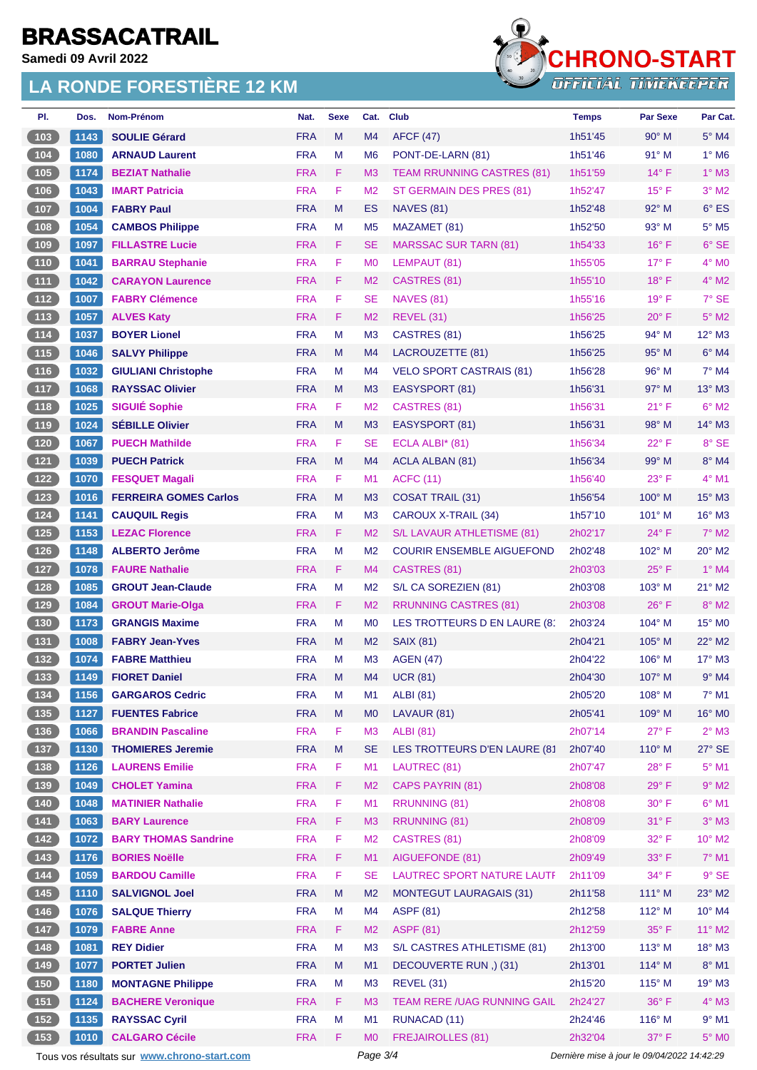**Samedi 09 Avril 2022**

#### **LA RONDE FORESTIÈRE 12 KM**



| PI.                                               | Dos. | Nom-Prénom                   | Nat.       | <b>Sexe</b> | Cat.           | <b>Club</b>                       | <b>Temps</b> | Par Sexe        | Par Cat.        |
|---------------------------------------------------|------|------------------------------|------------|-------------|----------------|-----------------------------------|--------------|-----------------|-----------------|
| 103                                               | 1143 | <b>SOULIE Gérard</b>         | <b>FRA</b> | M           | M4             | <b>AFCF (47)</b>                  | 1h51'45      | 90° M           | 5° M4           |
| $(104)$                                           | 1080 | <b>ARNAUD Laurent</b>        | <b>FRA</b> | M           | M <sub>6</sub> | PONT-DE-LARN (81)                 | 1h51'46      | 91° M           | $1^\circ$ M6    |
| 105                                               | 1174 | <b>BEZIAT Nathalie</b>       | <b>FRA</b> | F           | M <sub>3</sub> | <b>TEAM RRUNNING CASTRES (81)</b> | 1h51'59      | $14^{\circ}$ F  | $1^\circ$ M3    |
| 106                                               | 1043 | <b>IMART Patricia</b>        | <b>FRA</b> | F           | M <sub>2</sub> | ST GERMAIN DES PRES (81)          | 1h52'47      | $15^{\circ}$ F  | $3°$ M2         |
| (107)                                             | 1004 | <b>FABRY Paul</b>            | <b>FRA</b> | M           | ES             | <b>NAVES (81)</b>                 | 1h52'48      | 92° M           | 6° ES           |
| 108                                               | 1054 | <b>CAMBOS Philippe</b>       | <b>FRA</b> | М           | M <sub>5</sub> | MAZAMET (81)                      | 1h52'50      | 93° M           | $5^\circ$ M5    |
| (109                                              | 1097 | <b>FILLASTRE Lucie</b>       | <b>FRA</b> | F           | <b>SE</b>      | <b>MARSSAC SUR TARN (81)</b>      | 1h54'33      | $16^{\circ}$ F  | $6°$ SE         |
| $(110)$                                           | 1041 | <b>BARRAU Stephanie</b>      | <b>FRA</b> | F           | M <sub>0</sub> | LEMPAUT (81)                      | 1h55'05      | $17^{\circ}$ F  | 4° MO           |
| (111)                                             | 1042 | <b>CARAYON Laurence</b>      | <b>FRA</b> | F           | M <sub>2</sub> | CASTRES (81)                      | 1h55'10      | $18^{\circ}$ F  | $4^\circ$ M2    |
| (112)                                             | 1007 | <b>FABRY Clémence</b>        | <b>FRA</b> | F           | SE             | <b>NAVES (81)</b>                 | 1h55'16      | $19°$ F         | $7^\circ$ SE    |
| (113)                                             | 1057 | <b>ALVES Katy</b>            | <b>FRA</b> | F.          | M <sub>2</sub> | <b>REVEL (31)</b>                 | 1h56'25      | $20^{\circ}$ F  | $5^\circ$ M2    |
| (114)                                             | 1037 | <b>BOYER Lionel</b>          | <b>FRA</b> | М           | M <sub>3</sub> | CASTRES (81)                      | 1h56'25      | $94^{\circ}$ M  | $12^{\circ}$ M3 |
| (115)                                             | 1046 | <b>SALVY Philippe</b>        | <b>FRA</b> | M           | M <sub>4</sub> | LACROUZETTE (81)                  | 1h56'25      | $95^\circ$ M    | $6°$ M4         |
| $\boxed{116}$                                     | 1032 | <b>GIULIANI Christophe</b>   | <b>FRA</b> | М           | M4             | <b>VELO SPORT CASTRAIS (81)</b>   | 1h56'28      | $96^{\circ}$ M  | 7° M4           |
| (117                                              | 1068 | <b>RAYSSAC Olivier</b>       | <b>FRA</b> | M           | M <sub>3</sub> | EASYSPORT (81)                    | 1h56'31      | $97^\circ$ M    | $13^\circ$ M3   |
| (118)                                             | 1025 | <b>SIGUIÉ Sophie</b>         | <b>FRA</b> | F           | M <sub>2</sub> | CASTRES (81)                      | 1h56'31      | $21^{\circ}$ F  | $6°$ M2         |
| (119)                                             | 1024 | <b>SEBILLE Olivier</b>       | <b>FRA</b> | M           | M <sub>3</sub> | EASYSPORT (81)                    | 1h56'31      | $98^\circ$ M    | 14° M3          |
| (120)                                             | 1067 | <b>PUECH Mathilde</b>        | <b>FRA</b> | F           | <b>SE</b>      | ECLA ALBI* (81)                   | 1h56'34      | $22^{\circ}$ F  | 8° SE           |
| (121)                                             | 1039 | <b>PUECH Patrick</b>         | <b>FRA</b> | M           | M4             | ACLA ALBAN (81)                   | 1h56'34      | $99^\circ$ M    | 8° M4           |
| (122)                                             | 1070 | <b>FESQUET Magali</b>        | <b>FRA</b> | F           | M <sub>1</sub> | <b>ACFC (11)</b>                  | 1h56'40      | $23^{\circ}$ F  | 4° M1           |
| $123$                                             | 1016 | <b>FERREIRA GOMES Carlos</b> | <b>FRA</b> | M           | M <sub>3</sub> | <b>COSAT TRAIL (31)</b>           | 1h56'54      | $100^\circ$ M   | 15° M3          |
| $124$                                             | 1141 | <b>CAUQUIL Regis</b>         | <b>FRA</b> | М           | M <sub>3</sub> | CAROUX X-TRAIL (34)               | 1h57'10      | $101^\circ$ M   | 16° M3          |
| (125)                                             | 1153 | <b>LEZAC Florence</b>        | <b>FRA</b> | F.          | M <sub>2</sub> | S/L LAVAUR ATHLETISME (81)        | 2h02'17      | $24^{\circ}$ F  | $7^\circ$ M2    |
| (126)                                             | 1148 | <b>ALBERTO Jerôme</b>        | <b>FRA</b> | M           | M <sub>2</sub> | <b>COURIR ENSEMBLE AIGUEFOND</b>  | 2h02'48      | 102° M          | 20° M2          |
| (127)                                             | 1078 | <b>FAURE Nathalie</b>        | <b>FRA</b> | F.          | M4             | CASTRES (81)                      | 2h03'03      | $25^{\circ}$ F  | $1°$ M4         |
| (128)                                             | 1085 | <b>GROUT Jean-Claude</b>     | <b>FRA</b> | М           | M <sub>2</sub> | S/L CA SOREZIEN (81)              | 2h03'08      | $103^\circ$ M   | $21^{\circ}$ M2 |
| (129)                                             | 1084 | <b>GROUT Marie-Olga</b>      | <b>FRA</b> | F           | M <sub>2</sub> | <b>RRUNNING CASTRES (81)</b>      | 2h03'08      | $26^{\circ}$ F  | 8° M2           |
| $\begin{array}{c} \n \textbf{130} \n \end{array}$ | 1173 | <b>GRANGIS Maxime</b>        | <b>FRA</b> | М           | M <sub>0</sub> | LES TROTTEURS D EN LAURE (81      | 2h03'24      | $104^\circ$ M   | 15° MO          |
| (131)                                             | 1008 | <b>FABRY Jean-Yves</b>       | <b>FRA</b> | M           | M <sub>2</sub> | <b>SAIX (81)</b>                  | 2h04'21      | $105^\circ$ M   | 22° M2          |
| 132                                               | 1074 | <b>FABRE Matthieu</b>        | <b>FRA</b> | М           | M <sub>3</sub> | <b>AGEN (47)</b>                  | 2h04'22      | $106^\circ$ M   | $17^\circ$ M3   |
| (133)                                             | 1149 | <b>FIORET Daniel</b>         | <b>FRA</b> | M           | M4             | <b>UCR (81)</b>                   | 2h04'30      | $107^\circ$ M   | $9°$ M4         |
| $134$                                             | 1156 | <b>GARGAROS Cedric</b>       | <b>FRA</b> | М           | M1             | <b>ALBI</b> (81)                  | 2h05'20      | $108^\circ$ M   | $7°$ M1         |
| (135)                                             | 1127 | <b>FUENTES Fabrice</b>       | <b>FRA</b> | M           | M <sub>0</sub> | LAVAUR (81)                       | 2h05'41      | 109° M          | 16° MO          |
| $(136)$                                           | 1066 | <b>BRANDIN Pascaline</b>     | <b>FRA</b> | F           | M <sub>3</sub> | <b>ALBI</b> (81)                  | 2h07'14      | $27^{\circ}$ F  | $2^{\circ}$ M3  |
| (137)                                             | 1130 | <b>THOMIERES Jeremie</b>     | <b>FRA</b> | M           | <b>SE</b>      | LES TROTTEURS D'EN LAURE (81      | 2h07'40      | $110^\circ$ M   | $27^\circ$ SE   |
| $\begin{array}{c} \n \text{138}\n \end{array}$    | 1126 | <b>LAURENS Emilie</b>        | <b>FRA</b> | F           | M1             | LAUTREC (81)                      | 2h07'47      | $28^{\circ}$ F  | $5^\circ$ M1    |
| (139)                                             | 1049 | <b>CHOLET Yamina</b>         | <b>FRA</b> | F.          | M <sub>2</sub> | <b>CAPS PAYRIN (81)</b>           | 2h08'08      | $29^\circ$ F    | $9°$ M2         |
| $(140)$                                           | 1048 | <b>MATINIER Nathalie</b>     | <b>FRA</b> | F           | M1             | RRUNNING (81)                     | 2h08'08      | $30^{\circ}$ F  | $6^{\circ}$ M1  |
| (141)                                             | 1063 | <b>BARY Laurence</b>         | <b>FRA</b> | F           | M <sub>3</sub> | RRUNNING (81)                     | 2h08'09      | $31^\circ$ F    | $3^\circ$ M3    |
| (142)                                             | 1072 | <b>BARY THOMAS Sandrine</b>  | <b>FRA</b> | F           | M <sub>2</sub> | CASTRES (81)                      | 2h08'09      | 32° F           | 10° M2          |
| (143)                                             | 1176 | <b>BORIES Noëlle</b>         | <b>FRA</b> | F           | M1             | AIGUEFONDE (81)                   | 2h09'49      | 33° F           | $7^\circ$ M1    |
| $\begin{array}{c} \hline 144 \end{array}$         | 1059 | <b>BARDOU Camille</b>        | <b>FRA</b> | F           | <b>SE</b>      | LAUTREC SPORT NATURE LAUTF        | 2h11'09      | 34° F           | $9°$ SE         |
| (145)                                             | 1110 | <b>SALVIGNOL Joel</b>        | <b>FRA</b> | M           | M <sub>2</sub> | <b>MONTEGUT LAURAGAIS (31)</b>    | 2h11'58      | $111^\circ$ M   | 23° M2          |
| (146)                                             | 1076 | <b>SALQUE Thierry</b>        | <b>FRA</b> | M           | M4             | <b>ASPF (81)</b>                  | 2h12'58      | $112^{\circ}$ M | $10^{\circ}$ M4 |
| (147)                                             | 1079 | <b>FABRE Anne</b>            | <b>FRA</b> | F           | M <sub>2</sub> | <b>ASPF (81)</b>                  | 2h12'59      | 35° F           | $11^{\circ}$ M2 |
| $\begin{array}{c} \n \text{148}\n \end{array}$    | 1081 | <b>REY Didier</b>            | <b>FRA</b> | M           | M <sub>3</sub> | S/L CASTRES ATHLETISME (81)       | 2h13'00      | $113^\circ$ M   | $18^\circ$ M3   |
| (149)                                             | 1077 | <b>PORTET Julien</b>         | <b>FRA</b> | M           | M1             | DECOUVERTE RUN, (31)              | 2h13'01      | $114^\circ$ M   | $8^\circ$ M1    |
| (150)                                             | 1180 | <b>MONTAGNE Philippe</b>     | <b>FRA</b> | М           | M <sub>3</sub> | <b>REVEL (31)</b>                 | 2h15'20      | $115^\circ$ M   | 19° M3          |
| (151)                                             | 1124 | <b>BACHERE Veronique</b>     | <b>FRA</b> | F           | M <sub>3</sub> | TEAM RERE / UAG RUNNING GAIL      | 2h24'27      | 36°F            | $4^\circ$ M3    |
| $152$                                             | 1135 | <b>RAYSSAC Cyril</b>         | <b>FRA</b> | М           | M <sub>1</sub> | <b>RUNACAD (11)</b>               | 2h24'46      | $116^\circ$ M   | $9°$ M1         |
| (153)                                             | 1010 | <b>CALGARO Cécile</b>        | <b>FRA</b> | F           | M <sub>0</sub> | <b>FREJAIROLLES (81)</b>          | 2h32'04      | $37^\circ$ F    | 5° MO           |

Tous vos résultats sur **[www.chrono-start.com](https://www.chrono-start.com/)** Page 3/4 Page 3/4 Dernière mise à jour le 09/04/2022 14:42:29